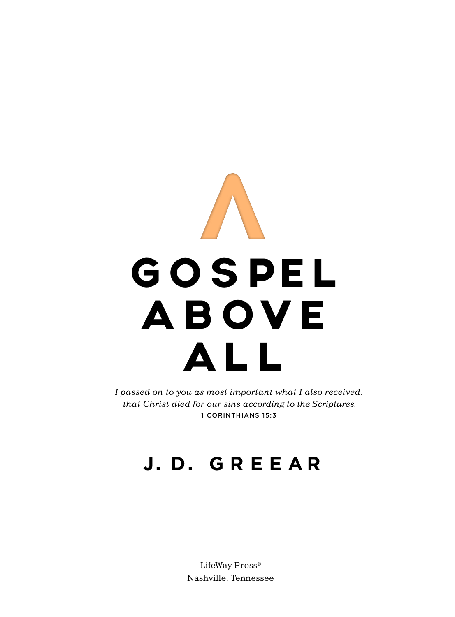

*I passed on to you as most important what I also received: that Christ died for our sins according to the Scriptures.*  1 CORINTHIANS 15:3

# **J. D. G R E E AR**

LifeWay Press® Nashville, Tennessee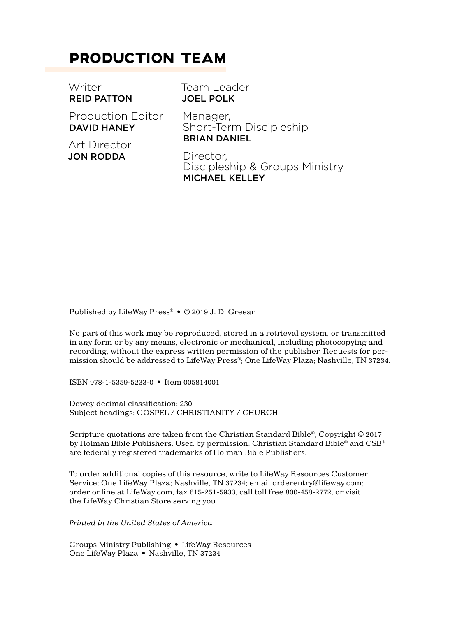## PRODUCTION TEAM

| Writer<br><b>REID PATTON</b>                   | Team Leader<br><b>JOEL POLK</b>                                                                                                    |
|------------------------------------------------|------------------------------------------------------------------------------------------------------------------------------------|
| <b>Production Editor</b><br><b>DAVID HANEY</b> | Manager,<br>Short-Term Discipleship<br><b>BRIAN DANIEL</b><br>Director,<br>Discipleship & Groups Ministry<br><b>MICHAEL KELLEY</b> |
| Art Director<br><b>JON RODDA</b>               |                                                                                                                                    |

Published by LifeWay Press® • © 2019 J. D. Greear

No part of this work may be reproduced, stored in a retrieval system, or transmitted in any form or by any means, electronic or mechanical, including photocopying and recording, without the express written permission of the publisher. Requests for permission should be addressed to LifeWay Press®; One LifeWay Plaza; Nashville, TN 37234.

ISBN 978-1-5359-5233-0 • Item 005814001

Dewey decimal classification: 230 Subject headings: GOSPEL / CHRISTIANITY / CHURCH

Scripture quotations are taken from the Christian Standard Bible®, Copyright © 2017 by Holman Bible Publishers. Used by permission. Christian Standard Bible® and CSB® are federally registered trademarks of Holman Bible Publishers.

To order additional copies of this resource, write to LifeWay Resources Customer Service; One LifeWay Plaza; Nashville, TN 37234; email orderentry@lifeway.com; order online at LifeWay.com; fax 615-251-5933; call toll free 800-458-2772; or visit the LifeWay Christian Store serving you.

*Printed in the United States of America*

Groups Ministry Publishing • LifeWay Resources One LifeWay Plaza • Nashville, TN 37234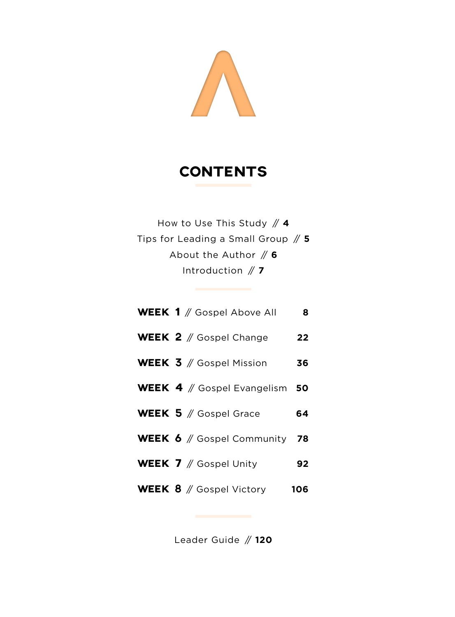

# **CONTENTS**

- How to Use This Study // **4** Tips for Leading a Small Group // **5** About the Author // **6** Introduction // **7**
- WEEK 1 // Gospel Above All 8 WEEK 2 // Gospel Change **22** WEEK 3 // Gospel Mission 36 WEEK 4 // Gospel Evangelism **50** WEEK 5 // Gospel Grace 64 WEEK 6 // Gospel Community **78** WEEK 7 // Gospel Unity 92 WEEK 8 // Gospel Victory **106**

Leader Guide // **120**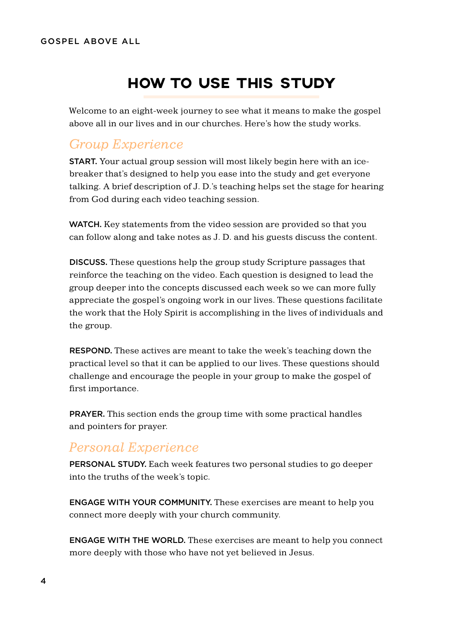# HOW TO USE THIS STUDY

Welcome to an eight-week journey to see what it means to make the gospel above all in our lives and in our churches. Here's how the study works.

## *Group Experience*

START. Your actual group session will most likely begin here with an icebreaker that's designed to help you ease into the study and get everyone talking. A brief description of J. D.'s teaching helps set the stage for hearing from God during each video teaching session.

WATCH. Key statements from the video session are provided so that you can follow along and take notes as J. D. and his guests discuss the content.

DISCUSS. These questions help the group study Scripture passages that reinforce the teaching on the video. Each question is designed to lead the group deeper into the concepts discussed each week so we can more fully appreciate the gospel's ongoing work in our lives. These questions facilitate the work that the Holy Spirit is accomplishing in the lives of individuals and the group.

RESPOND. These actives are meant to take the week's teaching down the practical level so that it can be applied to our lives. These questions should challenge and encourage the people in your group to make the gospel of first importance.

PRAYER. This section ends the group time with some practical handles and pointers for prayer.

## *Personal Experience*

PERSONAL STUDY. Each week features two personal studies to go deeper into the truths of the week's topic.

ENGAGE WITH YOUR COMMUNITY. These exercises are meant to help you connect more deeply with your church community.

ENGAGE WITH THE WORLD. These exercises are meant to help you connect more deeply with those who have not yet believed in Jesus.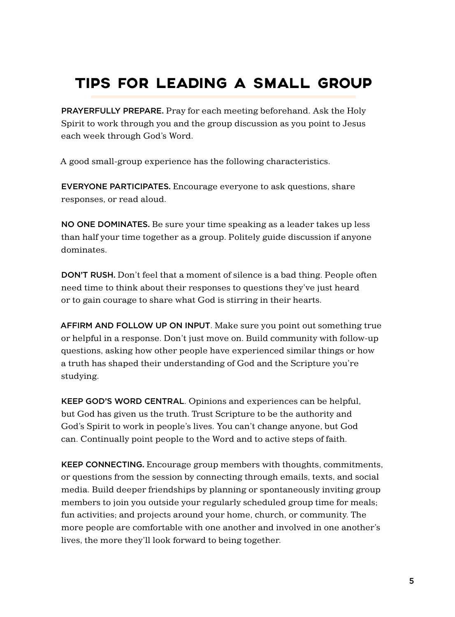# TIPS FOR LEADING A SMALL GROUP

PRAYERFULLY PREPARE. Pray for each meeting beforehand. Ask the Holy Spirit to work through you and the group discussion as you point to Jesus each week through God's Word.

A good small-group experience has the following characteristics.

EVERYONE PARTICIPATES. Encourage everyone to ask questions, share responses, or read aloud.

NO ONE DOMINATES. Be sure your time speaking as a leader takes up less than half your time together as a group. Politely guide discussion if anyone dominates.

DON'T RUSH. Don't feel that a moment of silence is a bad thing. People often need time to think about their responses to questions they've just heard or to gain courage to share what God is stirring in their hearts.

AFFIRM AND FOLLOW UP ON INPUT. Make sure you point out something true or helpful in a response. Don't just move on. Build community with follow-up questions, asking how other people have experienced similar things or how a truth has shaped their understanding of God and the Scripture you're studying.

KEEP GOD'S WORD CENTRAL. Opinions and experiences can be helpful, but God has given us the truth. Trust Scripture to be the authority and God's Spirit to work in people's lives. You can't change anyone, but God can. Continually point people to the Word and to active steps of faith.

KEEP CONNECTING. Encourage group members with thoughts, commitments, or questions from the session by connecting through emails, texts, and social media. Build deeper friendships by planning or spontaneously inviting group members to join you outside your regularly scheduled group time for meals; fun activities; and projects around your home, church, or community. The more people are comfortable with one another and involved in one another's lives, the more they'll look forward to being together.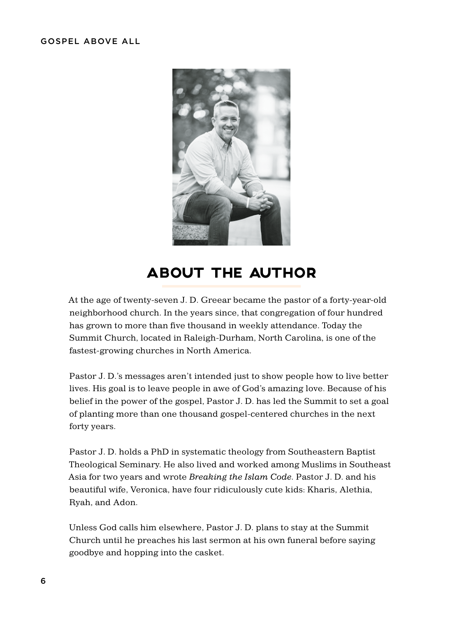

# ABOUT THE AUTHOR

At the age of twenty-seven J. D. Greear became the pastor of a forty-year-old neighborhood church. In the years since, that congregation of four hundred has grown to more than five thousand in weekly attendance. Today the Summit Church, located in Raleigh-Durham, North Carolina, is one of the fastest-growing churches in North America.

Pastor J. D.'s messages aren't intended just to show people how to live better lives. His goal is to leave people in awe of God's amazing love. Because of his belief in the power of the gospel, Pastor J. D. has led the Summit to set a goal of planting more than one thousand gospel-centered churches in the next forty years.

Pastor J. D. holds a PhD in systematic theology from Southeastern Baptist Theological Seminary. He also lived and worked among Muslims in Southeast Asia for two years and wrote *Breaking the Islam Code.* Pastor J. D. and his beautiful wife, Veronica, have four ridiculously cute kids: Kharis, Alethia, Ryah, and Adon.

Unless God calls him elsewhere, Pastor J. D. plans to stay at the Summit Church until he preaches his last sermon at his own funeral before saying goodbye and hopping into the casket.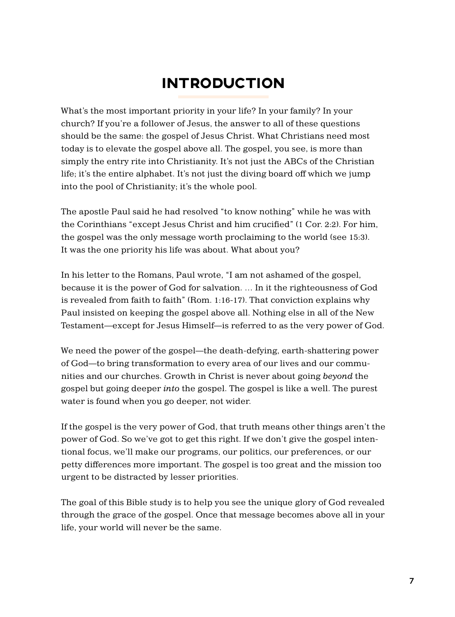# INTRODUCTION

What's the most important priority in your life? In your family? In your church? If you're a follower of Jesus, the answer to all of these questions should be the same: the gospel of Jesus Christ. What Christians need most today is to elevate the gospel above all. The gospel, you see, is more than simply the entry rite into Christianity. It's not just the ABCs of the Christian life; it's the entire alphabet. It's not just the diving board off which we jump into the pool of Christianity; it's the whole pool.

The apostle Paul said he had resolved "to know nothing" while he was with the Corinthians "except Jesus Christ and him crucified" (1 Cor. 2:2). For him, the gospel was the only message worth proclaiming to the world (see 15:3). It was the one priority his life was about. What about you?

In his letter to the Romans, Paul wrote, "I am not ashamed of the gospel, because it is the power of God for salvation. … In it the righteousness of God is revealed from faith to faith" (Rom. 1:16-17). That conviction explains why Paul insisted on keeping the gospel above all. Nothing else in all of the New Testament—except for Jesus Himself—is referred to as the very power of God.

We need the power of the gospel—the death-defying, earth-shattering power of God—to bring transformation to every area of our lives and our communities and our churches. Growth in Christ is never about going *beyond* the gospel but going deeper *into* the gospel. The gospel is like a well. The purest water is found when you go deeper, not wider.

If the gospel is the very power of God, that truth means other things aren't the power of God. So we've got to get this right. If we don't give the gospel intentional focus, we'll make our programs, our politics, our preferences, or our petty differences more important. The gospel is too great and the mission too urgent to be distracted by lesser priorities.

The goal of this Bible study is to help you see the unique glory of God revealed through the grace of the gospel. Once that message becomes above all in your life, your world will never be the same.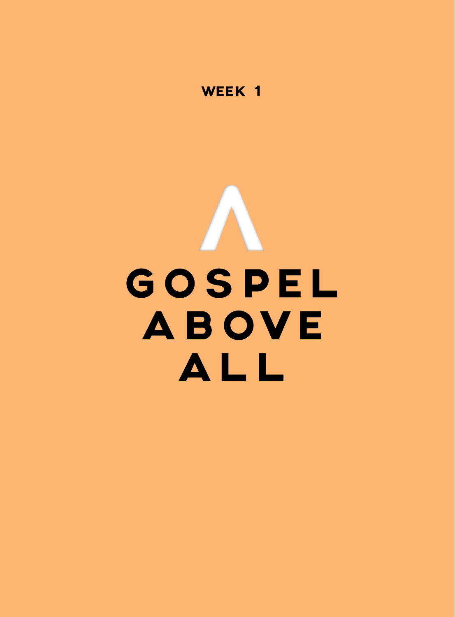WEEK 1

# GOSPEL ABOVE ALL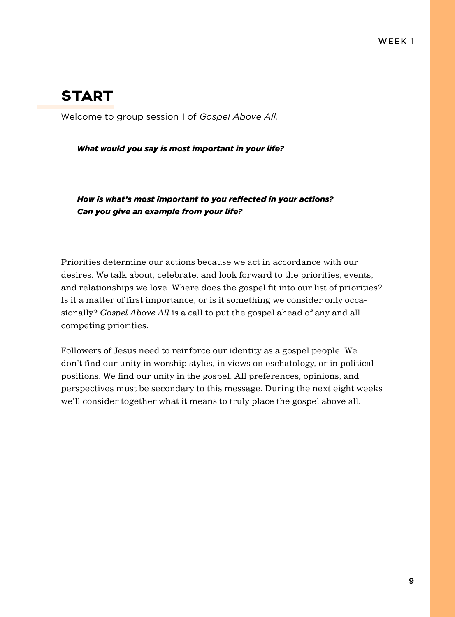# **START**

Welcome to group session 1 of *Gospel Above All.*

#### *What would you say is most important in your life?*

*How is what's most important to you reflected in your actions? Can you give an example from your life?* 

Priorities determine our actions because we act in accordance with our desires. We talk about, celebrate, and look forward to the priorities, events, and relationships we love. Where does the gospel fit into our list of priorities? Is it a matter of first importance, or is it something we consider only occasionally? *Gospel Above All* is a call to put the gospel ahead of any and all competing priorities.

Followers of Jesus need to reinforce our identity as a gospel people. We don't find our unity in worship styles, in views on eschatology, or in political positions. We find our unity in the gospel. All preferences, opinions, and perspectives must be secondary to this message. During the next eight weeks we'll consider together what it means to truly place the gospel above all.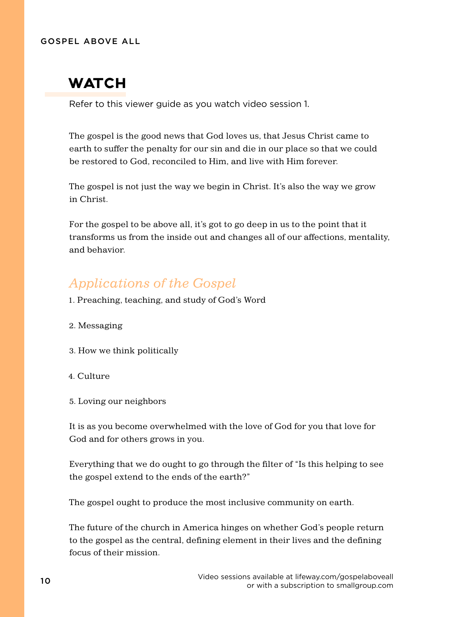# **WATCH**

Refer to this viewer guide as you watch video session 1.

The gospel is the good news that God loves us, that Jesus Christ came to earth to suffer the penalty for our sin and die in our place so that we could be restored to God, reconciled to Him, and live with Him forever.

The gospel is not just the way we begin in Christ. It's also the way we grow in Christ.

For the gospel to be above all, it's got to go deep in us to the point that it transforms us from the inside out and changes all of our affections, mentality, and behavior.

## *Applications of the Gospel*

- 1. Preaching, teaching, and study of God's Word
- 2. Messaging
- 3. How we think politically
- 4. Culture
- 5. Loving our neighbors

It is as you become overwhelmed with the love of God for you that love for God and for others grows in you.

Everything that we do ought to go through the filter of "Is this helping to see the gospel extend to the ends of the earth?"

The gospel ought to produce the most inclusive community on earth.

The future of the church in America hinges on whether God's people return to the gospel as the central, defining element in their lives and the defining focus of their mission.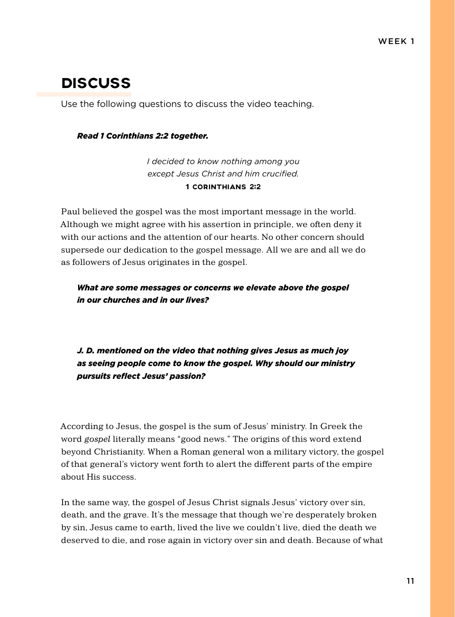## **DISCUSS**

Use the following questions to discuss the video teaching.

#### *Read 1 Corinthians 2:2 together.*

*I decided to know nothing among you except Jesus Christ and him crucified.* 1 CORINTHIANS 2:2

Paul believed the gospel was the most important message in the world. Although we might agree with his assertion in principle, we often deny it with our actions and the attention of our hearts. No other concern should supersede our dedication to the gospel message. All we are and all we do as followers of Jesus originates in the gospel.

*What are some messages or concerns we elevate above the gospel in our churches and in our lives?* 

*J. D. mentioned on the video that nothing gives Jesus as much joy as seeing people come to know the gospel. Why should our ministry pursuits reflect Jesus' passion?*

According to Jesus, the gospel is the sum of Jesus' ministry. In Greek the word *gospel* literally means "good news." The origins of this word extend beyond Christianity. When a Roman general won a military victory, the gospel of that general's victory went forth to alert the different parts of the empire about His success.

In the same way, the gospel of Jesus Christ signals Jesus' victory over sin, death, and the grave. It's the message that though we're desperately broken by sin, Jesus came to earth, lived the live we couldn't live, died the death we deserved to die, and rose again in victory over sin and death. Because of what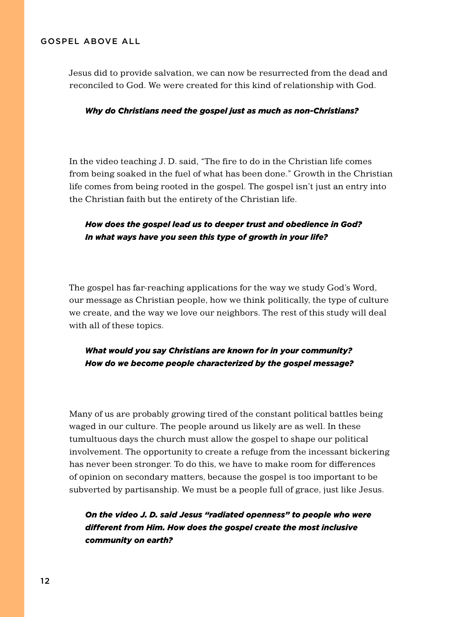Jesus did to provide salvation, we can now be resurrected from the dead and reconciled to God. We were created for this kind of relationship with God.

#### *Why do Christians need the gospel just as much as non-Christians?*

In the video teaching J. D. said, "The fire to do in the Christian life comes from being soaked in the fuel of what has been done." Growth in the Christian life comes from being rooted in the gospel. The gospel isn't just an entry into the Christian faith but the entirety of the Christian life.

#### *How does the gospel lead us to deeper trust and obedience in God? In what ways have you seen this type of growth in your life?*

The gospel has far-reaching applications for the way we study God's Word, our message as Christian people, how we think politically, the type of culture we create, and the way we love our neighbors. The rest of this study will deal with all of these topics.

#### *What would you say Christians are known for in your community? How do we become people characterized by the gospel message?*

Many of us are probably growing tired of the constant political battles being waged in our culture. The people around us likely are as well. In these tumultuous days the church must allow the gospel to shape our political involvement. The opportunity to create a refuge from the incessant bickering has never been stronger. To do this, we have to make room for differences of opinion on secondary matters, because the gospel is too important to be subverted by partisanship. We must be a people full of grace, just like Jesus.

*On the video J. D. said Jesus "radiated openness" to people who were different from Him. How does the gospel create the most inclusive community on earth?*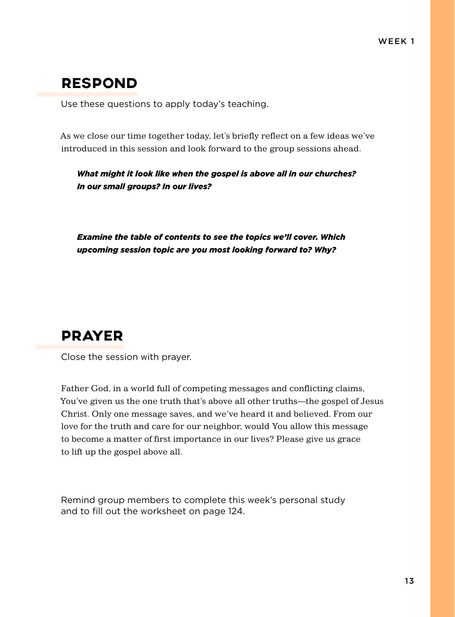## RESPOND

Use these questions to apply today's teaching.

As we close our time together today, let's briefly reflect on a few ideas we've introduced in this session and look forward to the group sessions ahead.

*What might it look like when the gospel is above all in our churches? In our small groups? In our lives?* 

*Examine the table of contents to see the topics we'll cover. Which upcoming session topic are you most looking forward to? Why?* 

## PRAYER

Close the session with prayer.

Father God, in a world full of competing messages and conflicting claims, You've given us the one truth that's above all other truths—the gospel of Jesus Christ. Only one message saves, and we've heard it and believed. From our love for the truth and care for our neighbor, would You allow this message to become a matter of first importance in our lives? Please give us grace to lift up the gospel above all.

Remind group members to complete this week's personal study and to fill out the worksheet on page 124.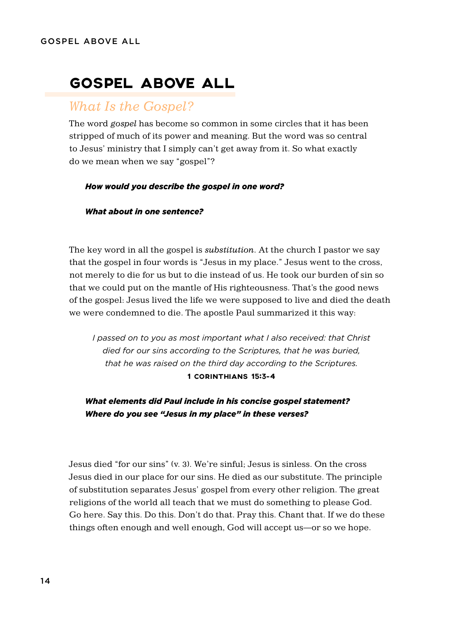## *What Is the Gospel?*

The word *gospel* has become so common in some circles that it has been stripped of much of its power and meaning. But the word was so central to Jesus' ministry that I simply can't get away from it. So what exactly do we mean when we say "gospel"?

#### *How would you describe the gospel in one word?*

#### *What about in one sentence?*

The key word in all the gospel is *substitution*. At the church I pastor we say that the gospel in four words is "Jesus in my place." Jesus went to the cross, not merely to die for us but to die instead of us. He took our burden of sin so that we could put on the mantle of His righteousness. That's the good news of the gospel: Jesus lived the life we were supposed to live and died the death we were condemned to die. The apostle Paul summarized it this way:

*I passed on to you as most important what I also received: that Christ died for our sins according to the Scriptures, that he was buried, that he was raised on the third day according to the Scriptures.*

#### 1 CORINTHIANS 15:3-4

#### *What elements did Paul include in his concise gospel statement? Where do you see "Jesus in my place" in these verses?*

Jesus died "for our sins" (v. 3). We're sinful; Jesus is sinless. On the cross Jesus died in our place for our sins. He died as our substitute. The principle of substitution separates Jesus' gospel from every other religion. The great religions of the world all teach that we must do something to please God. Go here. Say this. Do this. Don't do that. Pray this. Chant that. If we do these things often enough and well enough, God will accept us—or so we hope.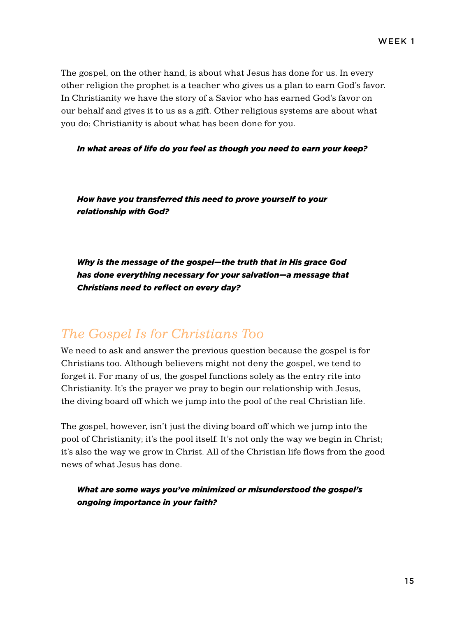The gospel, on the other hand, is about what Jesus has done for us. In every other religion the prophet is a teacher who gives us a plan to earn God's favor. In Christianity we have the story of a Savior who has earned God's favor on our behalf and gives it to us as a gift. Other religious systems are about what you do; Christianity is about what has been done for you.

#### *In what areas of life do you feel as though you need to earn your keep?*

*How have you transferred this need to prove yourself to your relationship with God?* 

*Why is the message of the gospel—the truth that in His grace God has done everything necessary for your salvation—a message that Christians need to reflect on every day?* 

## *The Gospel Is for Christians Too*

We need to ask and answer the previous question because the gospel is for Christians too. Although believers might not deny the gospel, we tend to forget it. For many of us, the gospel functions solely as the entry rite into Christianity. It's the prayer we pray to begin our relationship with Jesus, the diving board off which we jump into the pool of the real Christian life.

The gospel, however, isn't just the diving board off which we jump into the pool of Christianity; it's the pool itself. It's not only the way we begin in Christ; it's also the way we grow in Christ. All of the Christian life flows from the good news of what Jesus has done.

*What are some ways you've minimized or misunderstood the gospel's ongoing importance in your faith?*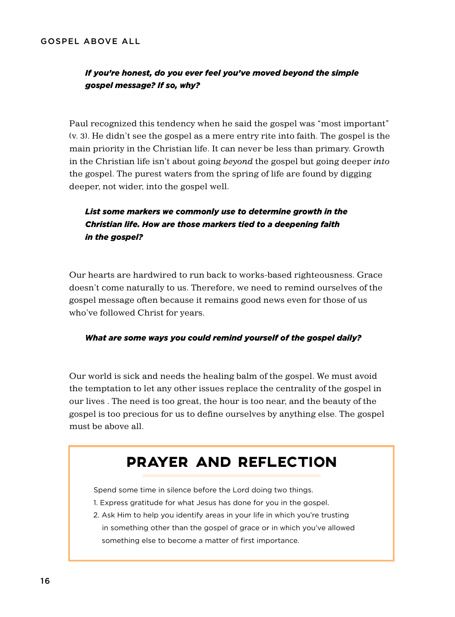#### *If you're honest, do you ever feel you've moved beyond the simple gospel message? If so, why?*

Paul recognized this tendency when he said the gospel was "most important" (v. 3). He didn't see the gospel as a mere entry rite into faith. The gospel is the main priority in the Christian life. It can never be less than primary. Growth in the Christian life isn't about going *beyond* the gospel but going deeper *into* the gospel. The purest waters from the spring of life are found by digging deeper, not wider, into the gospel well.

#### *List some markers we commonly use to determine growth in the Christian life. How are those markers tied to a deepening faith in the gospel?*

Our hearts are hardwired to run back to works-based righteousness. Grace doesn't come naturally to us. Therefore, we need to remind ourselves of the gospel message often because it remains good news even for those of us who've followed Christ for years.

#### *What are some ways you could remind yourself of the gospel daily?*

Our world is sick and needs the healing balm of the gospel. We must avoid the temptation to let any other issues replace the centrality of the gospel in our lives . The need is too great, the hour is too near, and the beauty of the gospel is too precious for us to define ourselves by anything else. The gospel must be above all.

## PRAYER AND REFLECTION

Spend some time in silence before the Lord doing two things.

- 1. Express gratitude for what Jesus has done for you in the gospel.
- 2. Ask Him to help you identify areas in your life in which you're trusting in something other than the gospel of grace or in which you've allowed something else to become a matter of first importance.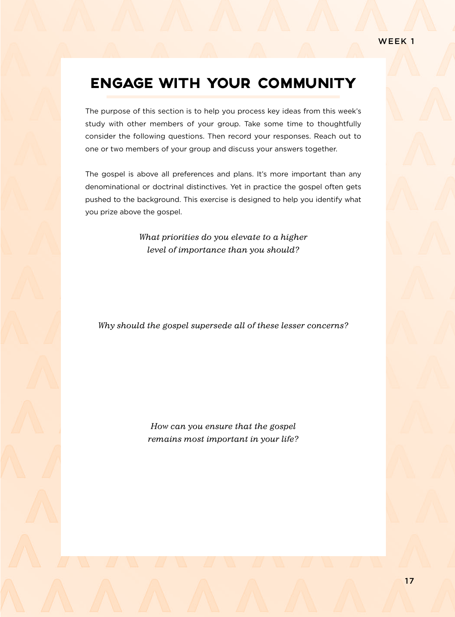## ENGAGE WITH YOUR COMMUNITY

The purpose of this section is to help you process key ideas from this week's study with other members of your group. Take some time to thoughtfully consider the following questions. Then record your responses. Reach out to one or two members of your group and discuss your answers together.

The gospel is above all preferences and plans. It's more important than any denominational or doctrinal distinctives. Yet in practice the gospel often gets pushed to the background. This exercise is designed to help you identify what you prize above the gospel.

> *What priorities do you elevate to a higher level of importance than you should?*

*Why should the gospel supersede all of these lesser concerns?*

*How can you ensure that the gospel remains most important in your life?*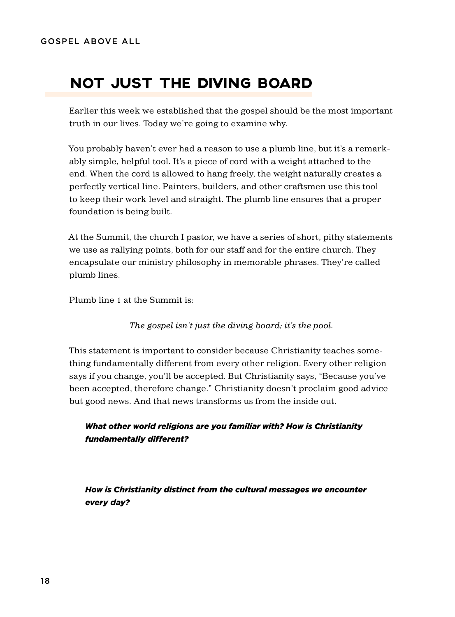## NOT JUST THE DIVING BOARD

Earlier this week we established that the gospel should be the most important truth in our lives. Today we're going to examine why.

You probably haven't ever had a reason to use a plumb line, but it's a remarkably simple, helpful tool. It's a piece of cord with a weight attached to the end. When the cord is allowed to hang freely, the weight naturally creates a perfectly vertical line. Painters, builders, and other craftsmen use this tool to keep their work level and straight. The plumb line ensures that a proper foundation is being built.

At the Summit, the church I pastor, we have a series of short, pithy statements we use as rallying points, both for our staff and for the entire church. They encapsulate our ministry philosophy in memorable phrases. They're called plumb lines.

Plumb line 1 at the Summit is:

*The gospel isn't just the diving board; it's the pool.*

This statement is important to consider because Christianity teaches something fundamentally different from every other religion. Every other religion says if you change, you'll be accepted. But Christianity says, "Because you've been accepted, therefore change." Christianity doesn't proclaim good advice but good news. And that news transforms us from the inside out.

#### *What other world religions are you familiar with? How is Christianity fundamentally different?*

*How is Christianity distinct from the cultural messages we encounter every day?*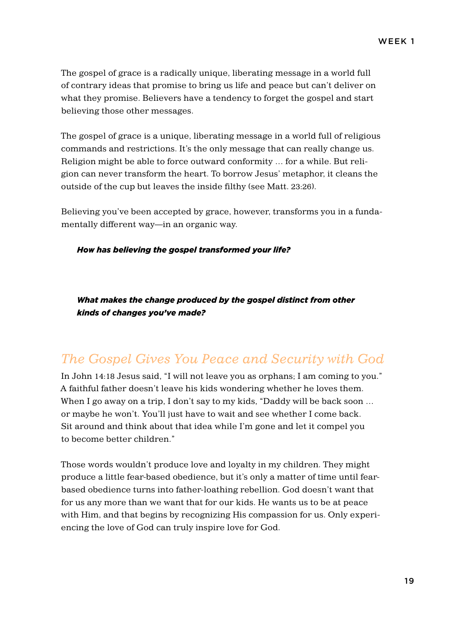The gospel of grace is a radically unique, liberating message in a world full of contrary ideas that promise to bring us life and peace but can't deliver on what they promise. Believers have a tendency to forget the gospel and start believing those other messages.

The gospel of grace is a unique, liberating message in a world full of religious commands and restrictions. It's the only message that can really change us. Religion might be able to force outward conformity … for a while. But religion can never transform the heart. To borrow Jesus' metaphor, it cleans the outside of the cup but leaves the inside filthy (see Matt. 23:26).

Believing you've been accepted by grace, however, transforms you in a fundamentally different way—in an organic way.

#### *How has believing the gospel transformed your life?*

*What makes the change produced by the gospel distinct from other kinds of changes you've made?* 

## *The Gospel Gives You Peace and Security with God*

In John 14:18 Jesus said, "I will not leave you as orphans; I am coming to you." A faithful father doesn't leave his kids wondering whether he loves them. When I go away on a trip, I don't say to my kids, "Daddy will be back soon … or maybe he won't. You'll just have to wait and see whether I come back. Sit around and think about that idea while I'm gone and let it compel you to become better children."

Those words wouldn't produce love and loyalty in my children. They might produce a little fear-based obedience, but it's only a matter of time until fearbased obedience turns into father-loathing rebellion. God doesn't want that for us any more than we want that for our kids. He wants us to be at peace with Him, and that begins by recognizing His compassion for us. Only experiencing the love of God can truly inspire love for God.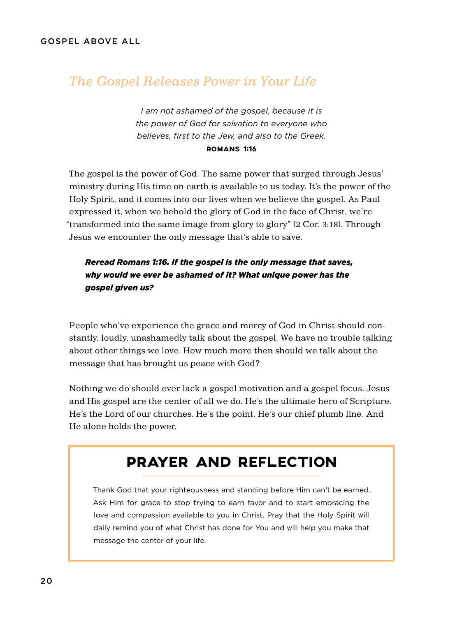## *The Gospel Releases Power in Your Life*

*I am not ashamed of the gospel, because it is the power of God for salvation to everyone who believes, first to the Jew, and also to the Greek.*

ROMANS 1:16

The gospel is the power of God. The same power that surged through Jesus' ministry during His time on earth is available to us today. It's the power of the Holy Spirit, and it comes into our lives when we believe the gospel. As Paul expressed it, when we behold the glory of God in the face of Christ, we're "transformed into the same image from glory to glory" (2 Cor. 3:18). Through Jesus we encounter the only message that's able to save.

#### *Reread Romans 1:16. If the gospel is the only message that saves, why would we ever be ashamed of it? What unique power has the gospel given us?*

People who've experience the grace and mercy of God in Christ should constantly, loudly, unashamedly talk about the gospel. We have no trouble talking about other things we love. How much more then should we talk about the message that has brought us peace with God?

Nothing we do should ever lack a gospel motivation and a gospel focus. Jesus and His gospel are the center of all we do. He's the ultimate hero of Scripture. He's the Lord of our churches. He's the point. He's our chief plumb line. And He alone holds the power.

## PRAYER AND REFLECTION

Thank God that your righteousness and standing before Him can't be earned. Ask Him for grace to stop trying to earn favor and to start embracing the love and compassion available to you in Christ. Pray that the Holy Spirit will daily remind you of what Christ has done for You and will help you make that message the center of your life.